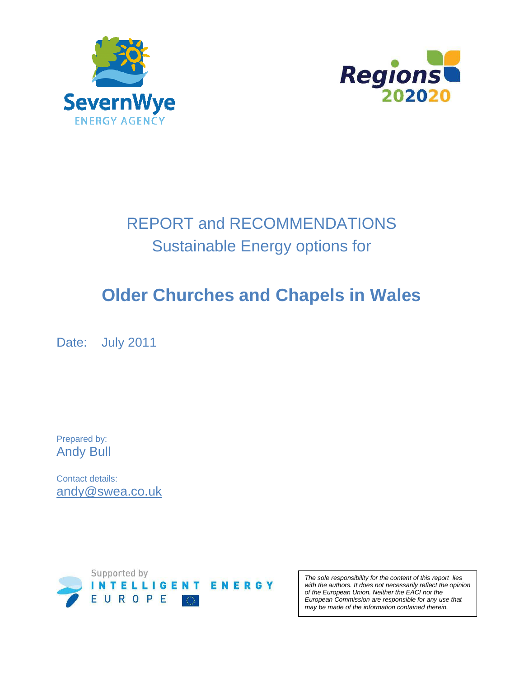



# REPORT and RECOMMENDATIONS Sustainable Energy options for

# **Older Churches and Chapels in Wales**

Date: July 2011

Prepared by: Andy Bull

Contact details: andy@swea.co.uk



The sole responsibility for the content of this report lies with the authors. It does not necessarily reflect the opinion of the European Union. Neither the EACI nor the European Commission are responsible for any use that may be made of the information contained therein.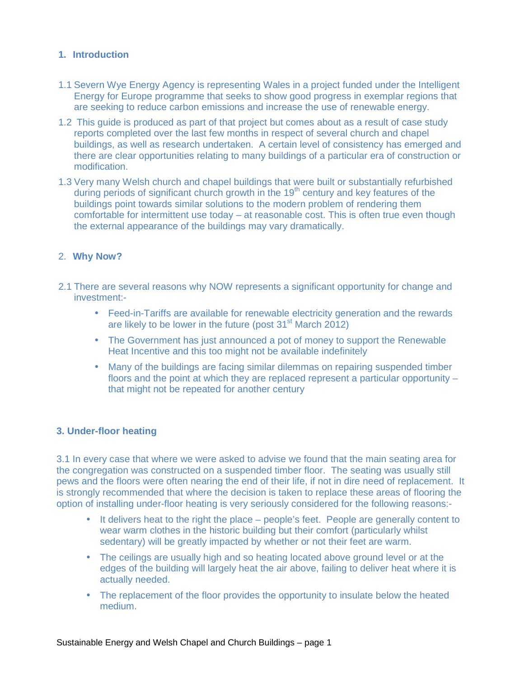## **1. Introduction**

- 1.1 Severn Wye Energy Agency is representing Wales in a project funded under the Intelligent Energy for Europe programme that seeks to show good progress in exemplar regions that are seeking to reduce carbon emissions and increase the use of renewable energy.
- 1.2 This guide is produced as part of that project but comes about as a result of case study reports completed over the last few months in respect of several church and chapel buildings, as well as research undertaken. A certain level of consistency has emerged and there are clear opportunities relating to many buildings of a particular era of construction or modification.
- 1.3 Very many Welsh church and chapel buildings that were built or substantially refurbished during periods of significant church growth in the  $19<sup>th</sup>$  century and key features of the buildings point towards similar solutions to the modern problem of rendering them comfortable for intermittent use today – at reasonable cost. This is often true even though the external appearance of the buildings may vary dramatically.

# 2. **Why Now?**

- 2.1 There are several reasons why NOW represents a significant opportunity for change and investment:-
	- Feed-in-Tariffs are available for renewable electricity generation and the rewards are likely to be lower in the future (post  $31<sup>st</sup>$  March 2012)
	- The Government has just announced a pot of money to support the Renewable Heat Incentive and this too might not be available indefinitely
	- Many of the buildings are facing similar dilemmas on repairing suspended timber floors and the point at which they are replaced represent a particular opportunity – that might not be repeated for another century

## **3. Under-floor heating**

3.1 In every case that where we were asked to advise we found that the main seating area for the congregation was constructed on a suspended timber floor. The seating was usually still pews and the floors were often nearing the end of their life, if not in dire need of replacement. It is strongly recommended that where the decision is taken to replace these areas of flooring the option of installing under-floor heating is very seriously considered for the following reasons:-

- It delivers heat to the right the place people's feet. People are generally content to wear warm clothes in the historic building but their comfort (particularly whilst sedentary) will be greatly impacted by whether or not their feet are warm.
- The ceilings are usually high and so heating located above ground level or at the edges of the building will largely heat the air above, failing to deliver heat where it is actually needed.
- The replacement of the floor provides the opportunity to insulate below the heated medium.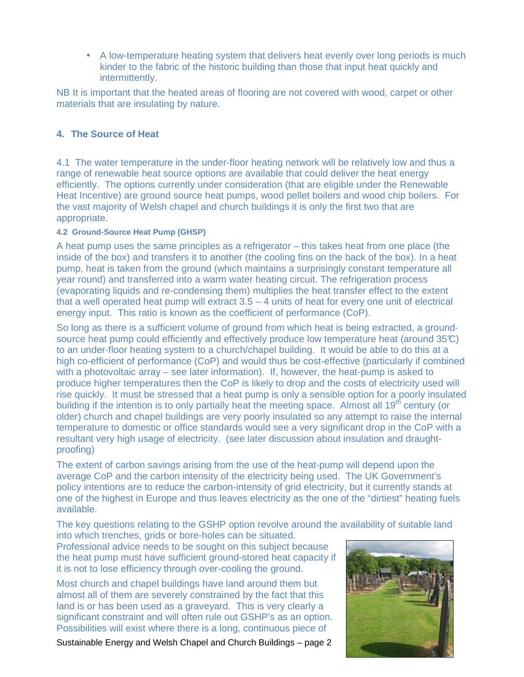• A low-temperature heating system that delivers heat evenly over long periods is much kinder to the fabric of the historic building than those that input heat quickly and intermittently.

NB It is important that the heated areas of flooring are not covered with wood, carpet or other materials that are insulating by nature.

## **4. The Source of Heat**

4.1 The water temperature in the under-floor heating network will be relatively low and thus a range of renewable heat source options are available that could deliver the heat energy efficiently. The options currently under consideration (that are eligible under the Renewable Heat Incentive) are ground source heat pumps, wood pellet boilers and wood chip boilers. For the vast majority of Welsh chapel and church buildings it is only the first two that are appropriate.

#### **4.2 Ground-Source Heat Pump (GHSP)**

A heat pump uses the same principles as a refrigerator – this takes heat from one place (the inside of the box) and transfers it to another (the cooling fins on the back of the box). In a heat pump, heat is taken from the ground (which maintains a surprisingly constant temperature all year round) and transferred into a warm water heating circuit. The refrigeration process (evaporating liquids and re-condensing them) multiplies the heat transfer effect to the extent that a well operated heat pump will extract  $3.5 - 4$  units of heat for every one unit of electrical energy input. This ratio is known as the coefficient of performance (CoP).

So long as there is a sufficient volume of ground from which heat is being extracted, a groundsource heat pump could efficiently and effectively produce low temperature heat (around 35°C) to an under-floor heating system to a church/chapel building. It would be able to do this at a high co-efficient of performance (CoP) and would thus be cost-effective (particularly if combined with a photovoltaic array – see later information). If, however, the heat-pump is asked to produce higher temperatures then the CoP is likely to drop and the costs of electricity used will rise quickly. It must be stressed that a heat pump is only a sensible option for a poorly insulated building if the intention is to only partially heat the meeting space. Almost all 19<sup>th</sup> century (or older) church and chapel buildings are very poorly insulated so any attempt to raise the internal temperature to domestic or office standards would see a very significant drop in the CoP with a resultant very high usage of electricity. (see later discussion about insulation and draughtproofing)

The extent of carbon savings arising from the use of the heat-pump will depend upon the average CoP and the carbon intensity of the electricity being used. The UK Government's policy intentions are to reduce the carbon-intensity of grid electricity, but it currently stands at one of the highest in Europe and thus leaves electricity as the one of the "dirtiest" heating fuels available.

The key questions relating to the GSHP option revolve around the availability of suitable land

into which trenches, grids or bore-holes can be situated. Professional advice needs to be sought on this subject because the heat pump must have sufficient ground-stored heat capacity if it is not to lose efficiency through over-cooling the ground.

Most church and chapel buildings have land around them but almost all of them are severely constrained by the fact that this land is or has been used as a graveyard. This is very clearly a significant constraint and will often rule out GSHP's as an option. Possibilities will exist where there is a long, continuous piece of

Sustainable Energy and Welsh Chapel and Church Buildings – page 2

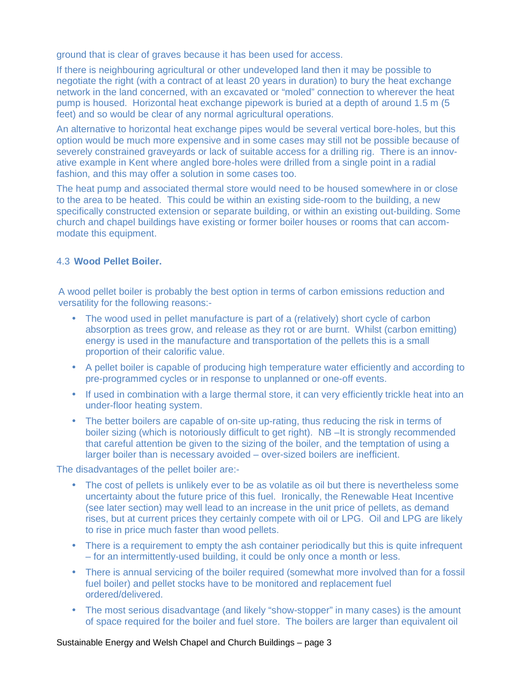ground that is clear of graves because it has been used for access.

If there is neighbouring agricultural or other undeveloped land then it may be possible to negotiate the right (with a contract of at least 20 years in duration) to bury the heat exchange network in the land concerned, with an excavated or "moled" connection to wherever the heat pump is housed. Horizontal heat exchange pipework is buried at a depth of around 1.5 m (5 feet) and so would be clear of any normal agricultural operations.

An alternative to horizontal heat exchange pipes would be several vertical bore-holes, but this option would be much more expensive and in some cases may still not be possible because of severely constrained graveyards or lack of suitable access for a drilling rig. There is an innovative example in Kent where angled bore-holes were drilled from a single point in a radial fashion, and this may offer a solution in some cases too.

The heat pump and associated thermal store would need to be housed somewhere in or close to the area to be heated. This could be within an existing side-room to the building, a new specifically constructed extension or separate building, or within an existing out-building. Some church and chapel buildings have existing or former boiler houses or rooms that can accommodate this equipment.

## 4.3 **Wood Pellet Boiler.**

A wood pellet boiler is probably the best option in terms of carbon emissions reduction and versatility for the following reasons:-

- The wood used in pellet manufacture is part of a (relatively) short cycle of carbon absorption as trees grow, and release as they rot or are burnt. Whilst (carbon emitting) energy is used in the manufacture and transportation of the pellets this is a small proportion of their calorific value.
- A pellet boiler is capable of producing high temperature water efficiently and according to pre-programmed cycles or in response to unplanned or one-off events.
- If used in combination with a large thermal store, it can very efficiently trickle heat into an under-floor heating system.
- The better boilers are capable of on-site up-rating, thus reducing the risk in terms of boiler sizing (which is notoriously difficult to get right). NB –It is strongly recommended that careful attention be given to the sizing of the boiler, and the temptation of using a larger boiler than is necessary avoided – over-sized boilers are inefficient.

The disadvantages of the pellet boiler are:-

- The cost of pellets is unlikely ever to be as volatile as oil but there is nevertheless some uncertainty about the future price of this fuel. Ironically, the Renewable Heat Incentive (see later section) may well lead to an increase in the unit price of pellets, as demand rises, but at current prices they certainly compete with oil or LPG. Oil and LPG are likely to rise in price much faster than wood pellets.
- There is a requirement to empty the ash container periodically but this is quite infrequent – for an intermittently-used building, it could be only once a month or less.
- There is annual servicing of the boiler required (somewhat more involved than for a fossil fuel boiler) and pellet stocks have to be monitored and replacement fuel ordered/delivered.
- The most serious disadvantage (and likely "show-stopper" in many cases) is the amount of space required for the boiler and fuel store. The boilers are larger than equivalent oil

#### Sustainable Energy and Welsh Chapel and Church Buildings – page 3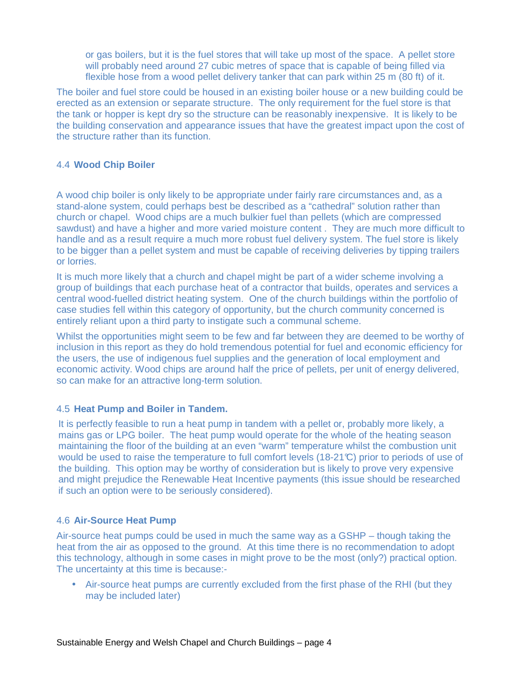or gas boilers, but it is the fuel stores that will take up most of the space. A pellet store will probably need around 27 cubic metres of space that is capable of being filled via flexible hose from a wood pellet delivery tanker that can park within 25 m (80 ft) of it.

The boiler and fuel store could be housed in an existing boiler house or a new building could be erected as an extension or separate structure. The only requirement for the fuel store is that the tank or hopper is kept dry so the structure can be reasonably inexpensive. It is likely to be the building conservation and appearance issues that have the greatest impact upon the cost of the structure rather than its function.

## 4.4 **Wood Chip Boiler**

A wood chip boiler is only likely to be appropriate under fairly rare circumstances and, as a stand-alone system, could perhaps best be described as a "cathedral" solution rather than church or chapel. Wood chips are a much bulkier fuel than pellets (which are compressed sawdust) and have a higher and more varied moisture content . They are much more difficult to handle and as a result require a much more robust fuel delivery system. The fuel store is likely to be bigger than a pellet system and must be capable of receiving deliveries by tipping trailers or lorries.

It is much more likely that a church and chapel might be part of a wider scheme involving a group of buildings that each purchase heat of a contractor that builds, operates and services a central wood-fuelled district heating system. One of the church buildings within the portfolio of case studies fell within this category of opportunity, but the church community concerned is entirely reliant upon a third party to instigate such a communal scheme.

Whilst the opportunities might seem to be few and far between they are deemed to be worthy of inclusion in this report as they do hold tremendous potential for fuel and economic efficiency for the users, the use of indigenous fuel supplies and the generation of local employment and economic activity. Wood chips are around half the price of pellets, per unit of energy delivered, so can make for an attractive long-term solution.

## 4.5 **Heat Pump and Boiler in Tandem.**

It is perfectly feasible to run a heat pump in tandem with a pellet or, probably more likely, a mains gas or LPG boiler. The heat pump would operate for the whole of the heating season maintaining the floor of the building at an even "warm" temperature whilst the combustion unit would be used to raise the temperature to full comfort levels (18-21°C) prior to periods of use of the building. This option may be worthy of consideration but is likely to prove very expensive and might prejudice the Renewable Heat Incentive payments (this issue should be researched if such an option were to be seriously considered).

## 4.6 **Air-Source Heat Pump**

Air-source heat pumps could be used in much the same way as a GSHP – though taking the heat from the air as opposed to the ground. At this time there is no recommendation to adopt this technology, although in some cases in might prove to be the most (only?) practical option. The uncertainty at this time is because:-

• Air-source heat pumps are currently excluded from the first phase of the RHI (but they may be included later)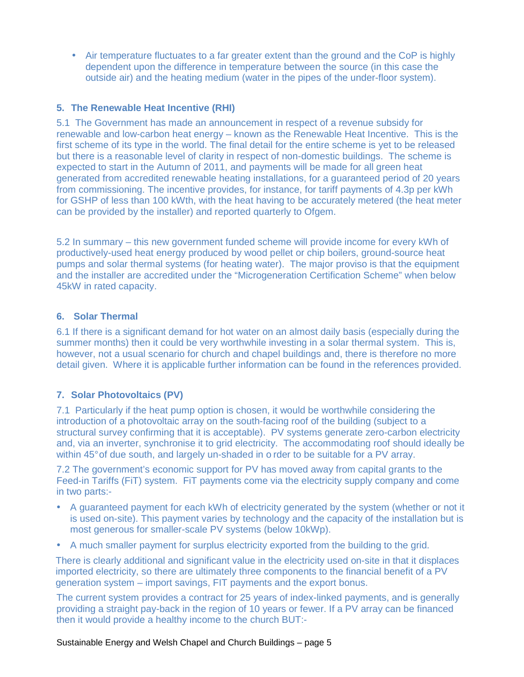• Air temperature fluctuates to a far greater extent than the ground and the CoP is highly dependent upon the difference in temperature between the source (in this case the outside air) and the heating medium (water in the pipes of the under-floor system).

# **5. The Renewable Heat Incentive (RHI)**

5.1 The Government has made an announcement in respect of a revenue subsidy for renewable and low-carbon heat energy – known as the Renewable Heat Incentive. This is the first scheme of its type in the world. The final detail for the entire scheme is yet to be released but there is a reasonable level of clarity in respect of non-domestic buildings. The scheme is expected to start in the Autumn of 2011, and payments will be made for all green heat generated from accredited renewable heating installations, for a guaranteed period of 20 years from commissioning. The incentive provides, for instance, for tariff payments of 4.3p per kWh for GSHP of less than 100 kWth, with the heat having to be accurately metered (the heat meter can be provided by the installer) and reported quarterly to Ofgem.

5.2 In summary – this new government funded scheme will provide income for every kWh of productively-used heat energy produced by wood pellet or chip boilers, ground-source heat pumps and solar thermal systems (for heating water). The major proviso is that the equipment and the installer are accredited under the "Microgeneration Certification Scheme" when below 45kW in rated capacity.

## **6. Solar Thermal**

6.1 If there is a significant demand for hot water on an almost daily basis (especially during the summer months) then it could be very worthwhile investing in a solar thermal system. This is, however, not a usual scenario for church and chapel buildings and, there is therefore no more detail given. Where it is applicable further information can be found in the references provided.

# **7. Solar Photovoltaics (PV)**

7.1 Particularly if the heat pump option is chosen, it would be worthwhile considering the introduction of a photovoltaic array on the south-facing roof of the building (subject to a structural survey confirming that it is acceptable). PV systems generate zero-carbon electricity and, via an inverter, synchronise it to grid electricity. The accommodating roof should ideally be within 45° of due south, and largely un-shaded in o rder to be suitable for a PV array.

7.2 The government's economic support for PV has moved away from capital grants to the Feed-in Tariffs (FiT) system. FiT payments come via the electricity supply company and come in two parts:-

- A guaranteed payment for each kWh of electricity generated by the system (whether or not it is used on-site). This payment varies by technology and the capacity of the installation but is most generous for smaller-scale PV systems (below 10kWp).
- A much smaller payment for surplus electricity exported from the building to the grid.

There is clearly additional and significant value in the electricity used on-site in that it displaces imported electricity, so there are ultimately three components to the financial benefit of a PV generation system – import savings, FIT payments and the export bonus.

The current system provides a contract for 25 years of index-linked payments, and is generally providing a straight pay-back in the region of 10 years or fewer. If a PV array can be financed then it would provide a healthy income to the church BUT:-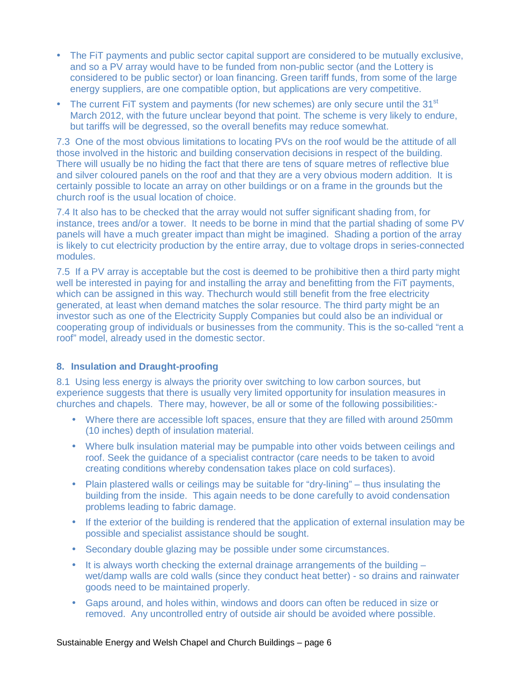- The FiT payments and public sector capital support are considered to be mutually exclusive, and so a PV array would have to be funded from non-public sector (and the Lottery is considered to be public sector) or loan financing. Green tariff funds, from some of the large energy suppliers, are one compatible option, but applications are very competitive.
- The current FiT system and payments (for new schemes) are only secure until the 31<sup>st</sup> March 2012, with the future unclear beyond that point. The scheme is very likely to endure, but tariffs will be degressed, so the overall benefits may reduce somewhat.

7.3 One of the most obvious limitations to locating PVs on the roof would be the attitude of all those involved in the historic and building conservation decisions in respect of the building. There will usually be no hiding the fact that there are tens of square metres of reflective blue and silver coloured panels on the roof and that they are a very obvious modern addition. It is certainly possible to locate an array on other buildings or on a frame in the grounds but the church roof is the usual location of choice.

7.4 It also has to be checked that the array would not suffer significant shading from, for instance, trees and/or a tower. It needs to be borne in mind that the partial shading of some PV panels will have a much greater impact than might be imagined. Shading a portion of the array is likely to cut electricity production by the entire array, due to voltage drops in series-connected modules.

7.5 If a PV array is acceptable but the cost is deemed to be prohibitive then a third party might well be interested in paying for and installing the array and benefitting from the FiT payments, which can be assigned in this way. Thechurch would still benefit from the free electricity generated, at least when demand matches the solar resource. The third party might be an investor such as one of the Electricity Supply Companies but could also be an individual or cooperating group of individuals or businesses from the community. This is the so-called "rent a roof" model, already used in the domestic sector.

## **8. Insulation and Draught-proofing**

8.1 Using less energy is always the priority over switching to low carbon sources, but experience suggests that there is usually very limited opportunity for insulation measures in churches and chapels. There may, however, be all or some of the following possibilities:-

- Where there are accessible loft spaces, ensure that they are filled with around 250mm (10 inches) depth of insulation material.
- Where bulk insulation material may be pumpable into other voids between ceilings and roof. Seek the guidance of a specialist contractor (care needs to be taken to avoid creating conditions whereby condensation takes place on cold surfaces).
- Plain plastered walls or ceilings may be suitable for "dry-lining" thus insulating the building from the inside. This again needs to be done carefully to avoid condensation problems leading to fabric damage.
- If the exterior of the building is rendered that the application of external insulation may be possible and specialist assistance should be sought.
- Secondary double glazing may be possible under some circumstances.
- $\bullet$  It is always worth checking the external drainage arrangements of the building  $$ wet/damp walls are cold walls (since they conduct heat better) - so drains and rainwater goods need to be maintained properly.
- Gaps around, and holes within, windows and doors can often be reduced in size or removed. Any uncontrolled entry of outside air should be avoided where possible.

#### Sustainable Energy and Welsh Chapel and Church Buildings – page 6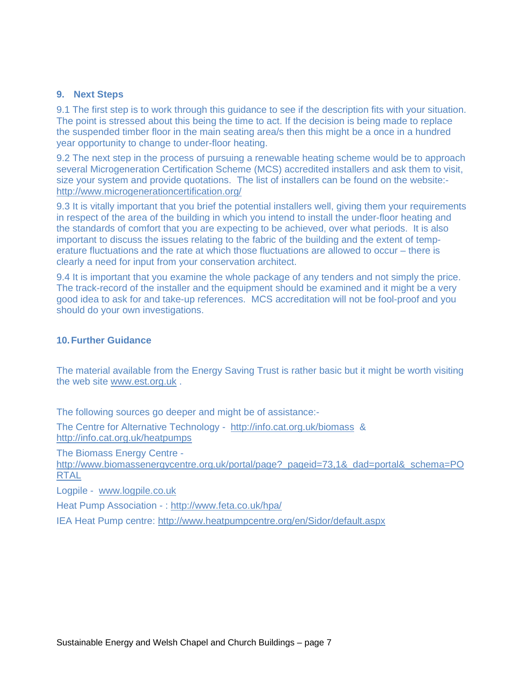#### **9. Next Steps**

9.1 The first step is to work through this guidance to see if the description fits with your situation. The point is stressed about this being the time to act. If the decision is being made to replace the suspended timber floor in the main seating area/s then this might be a once in a hundred year opportunity to change to under-floor heating.

9.2 The next step in the process of pursuing a renewable heating scheme would be to approach several Microgeneration Certification Scheme (MCS) accredited installers and ask them to visit, size your system and provide quotations. The list of installers can be found on the website: http://www.microgenerationcertification.org/

9.3 It is vitally important that you brief the potential installers well, giving them your requirements in respect of the area of the building in which you intend to install the under-floor heating and the standards of comfort that you are expecting to be achieved, over what periods. It is also important to discuss the issues relating to the fabric of the building and the extent of temperature fluctuations and the rate at which those fluctuations are allowed to occur – there is clearly a need for input from your conservation architect.

9.4 It is important that you examine the whole package of any tenders and not simply the price. The track-record of the installer and the equipment should be examined and it might be a very good idea to ask for and take-up references. MCS accreditation will not be fool-proof and you should do your own investigations.

## **10. Further Guidance**

The material available from the Energy Saving Trust is rather basic but it might be worth visiting the web site www.est.org.uk .

The following sources go deeper and might be of assistance:-

The Centre for Alternative Technology - http://info.cat.org.uk/biomass & http://info.cat.org.uk/heatpumps

The Biomass Energy Centre -

http://www.biomassenergycentre.org.uk/portal/page?\_pageid=73,1&\_dad=portal&\_schema=PO RTAL

Logpile - www.logpile.co.uk

Heat Pump Association - : http://www.feta.co.uk/hpa/

IEA Heat Pump centre: http://www.heatpumpcentre.org/en/Sidor/default.aspx